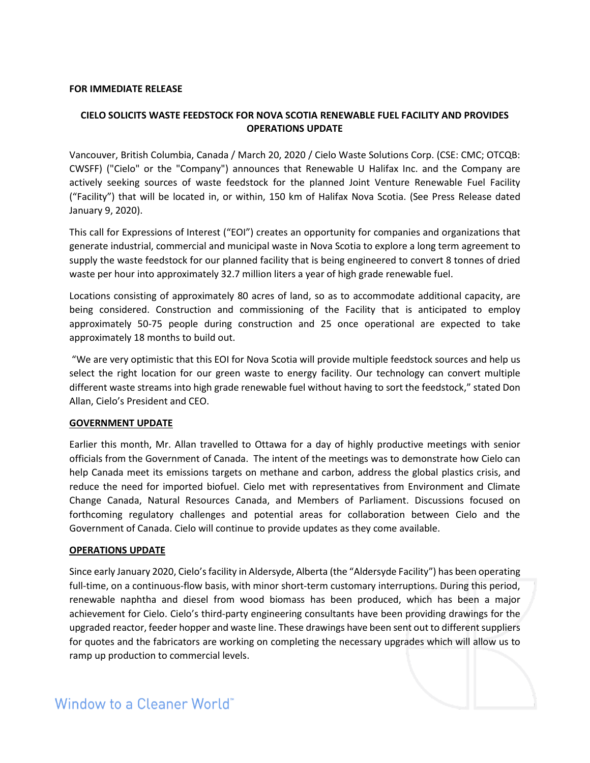#### **FOR IMMEDIATE RELEASE**

## **CIELO SOLICITS WASTE FEEDSTOCK FOR NOVA SCOTIA RENEWABLE FUEL FACILITY AND PROVIDES OPERATIONS UPDATE**

Vancouver, British Columbia, Canada / March 20, 2020 / Cielo Waste Solutions Corp. (CSE: CMC; OTCQB: CWSFF) ("Cielo" or the "Company") announces that Renewable U Halifax Inc. and the Company are actively seeking sources of waste feedstock for the planned Joint Venture Renewable Fuel Facility ("Facility") that will be located in, or within, 150 km of Halifax Nova Scotia. (See Press Release dated January 9, 2020).

This call for Expressions of Interest ("EOI") creates an opportunity for companies and organizations that generate industrial, commercial and municipal waste in Nova Scotia to explore a long term agreement to supply the waste feedstock for our planned facility that is being engineered to convert 8 tonnes of dried waste per hour into approximately 32.7 million liters a year of high grade renewable fuel.

Locations consisting of approximately 80 acres of land, so as to accommodate additional capacity, are being considered. Construction and commissioning of the Facility that is anticipated to employ approximately 50-75 people during construction and 25 once operational are expected to take approximately 18 months to build out.

"We are very optimistic that this EOI for Nova Scotia will provide multiple feedstock sources and help us select the right location for our green waste to energy facility. Our technology can convert multiple different waste streams into high grade renewable fuel without having to sort the feedstock," stated Don Allan, Cielo's President and CEO.

### **GOVERNMENT UPDATE**

Earlier this month, Mr. Allan travelled to Ottawa for a day of highly productive meetings with senior officials from the Government of Canada. The intent of the meetings was to demonstrate how Cielo can help Canada meet its emissions targets on methane and carbon, address the global plastics crisis, and reduce the need for imported biofuel. Cielo met with representatives from Environment and Climate Change Canada, Natural Resources Canada, and Members of Parliament. Discussions focused on forthcoming regulatory challenges and potential areas for collaboration between Cielo and the Government of Canada. Cielo will continue to provide updates as they come available.

### **OPERATIONS UPDATE**

Since early January 2020, Cielo's facility in Aldersyde, Alberta (the "Aldersyde Facility") has been operating full-time, on a continuous-flow basis, with minor short-term customary interruptions. During this period, renewable naphtha and diesel from wood biomass has been produced, which has been a major achievement for Cielo. Cielo's third-party engineering consultants have been providing drawings for the upgraded reactor, feeder hopper and waste line. These drawings have been sent out to different suppliers for quotes and the fabricators are working on completing the necessary upgrades which will allow us to ramp up production to commercial levels.

# Window to a Cleaner World"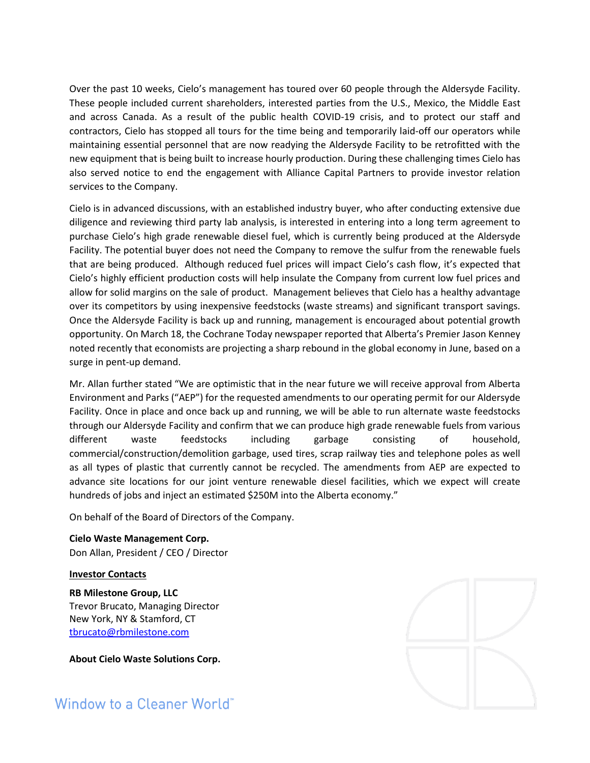Over the past 10 weeks, Cielo's management has toured over 60 people through the Aldersyde Facility. These people included current shareholders, interested parties from the U.S., Mexico, the Middle East and across Canada. As a result of the public health COVID-19 crisis, and to protect our staff and contractors, Cielo has stopped all tours for the time being and temporarily laid-off our operators while maintaining essential personnel that are now readying the Aldersyde Facility to be retrofitted with the new equipment that is being built to increase hourly production. During these challenging times Cielo has also served notice to end the engagement with Alliance Capital Partners to provide investor relation services to the Company.

Cielo is in advanced discussions, with an established industry buyer, who after conducting extensive due diligence and reviewing third party lab analysis, is interested in entering into a long term agreement to purchase Cielo's high grade renewable diesel fuel, which is currently being produced at the Aldersyde Facility. The potential buyer does not need the Company to remove the sulfur from the renewable fuels that are being produced. Although reduced fuel prices will impact Cielo's cash flow, it's expected that Cielo's highly efficient production costs will help insulate the Company from current low fuel prices and allow for solid margins on the sale of product. Management believes that Cielo has a healthy advantage over its competitors by using inexpensive feedstocks (waste streams) and significant transport savings. Once the Aldersyde Facility is back up and running, management is encouraged about potential growth opportunity. On March 18, the Cochrane Today newspaper reported that Alberta's Premier Jason Kenney noted recently that economists are projecting a sharp rebound in the global economy in June, based on a surge in pent-up demand.

Mr. Allan further stated "We are optimistic that in the near future we will receive approval from Alberta Environment and Parks ("AEP") for the requested amendments to our operating permit for our Aldersyde Facility. Once in place and once back up and running, we will be able to run alternate waste feedstocks through our Aldersyde Facility and confirm that we can produce high grade renewable fuels from various different waste feedstocks including garbage consisting of household, commercial/construction/demolition garbage, used tires, scrap railway ties and telephone poles as well as all types of plastic that currently cannot be recycled. The amendments from AEP are expected to advance site locations for our joint venture renewable diesel facilities, which we expect will create hundreds of jobs and inject an estimated \$250M into the Alberta economy."

On behalf of the Board of Directors of the Company.

**Cielo Waste Management Corp.** Don Allan, President / CEO / Director

## **Investor Contacts**

**RB Milestone Group, LLC** Trevor Brucato, Managing Director New York, NY & Stamford, CT [tbrucato@rbmilestone.com](mailto:tbrucato@rbmilestone.com)

**About Cielo Waste Solutions Corp.**

# Window to a Cleaner World<sup>\*\*</sup>

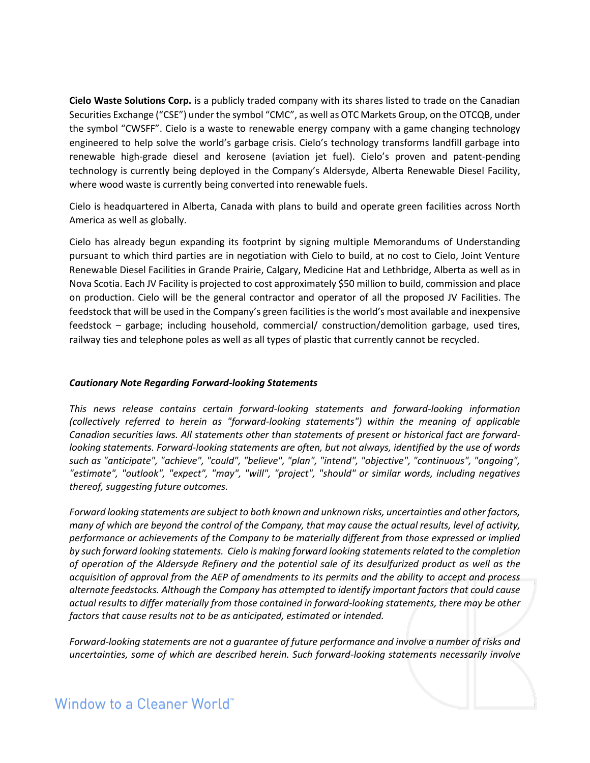**Cielo Waste Solutions Corp.** is a publicly traded company with its shares listed to trade on the Canadian Securities Exchange ("CSE") under the symbol "CMC", as well as OTC Markets Group, on the OTCQB, under the symbol "CWSFF". Cielo is a waste to renewable energy company with a game changing technology engineered to help solve the world's garbage crisis. Cielo's technology transforms landfill garbage into renewable high-grade diesel and kerosene (aviation jet fuel). Cielo's proven and patent-pending technology is currently being deployed in the Company's Aldersyde, Alberta Renewable Diesel Facility, where wood waste is currently being converted into renewable fuels.

Cielo is headquartered in Alberta, Canada with plans to build and operate green facilities across North America as well as globally.

Cielo has already begun expanding its footprint by signing multiple Memorandums of Understanding pursuant to which third parties are in negotiation with Cielo to build, at no cost to Cielo, Joint Venture Renewable Diesel Facilities in Grande Prairie, Calgary, Medicine Hat and Lethbridge, Alberta as well as in Nova Scotia. Each JV Facility is projected to cost approximately \$50 million to build, commission and place on production. Cielo will be the general contractor and operator of all the proposed JV Facilities. The feedstock that will be used in the Company's green facilities is the world's most available and inexpensive feedstock – garbage; including household, commercial/ construction/demolition garbage, used tires, railway ties and telephone poles as well as all types of plastic that currently cannot be recycled.

## *Cautionary Note Regarding Forward-looking Statements*

*This news release contains certain forward-looking statements and forward-looking information (collectively referred to herein as "forward-looking statements") within the meaning of applicable Canadian securities laws. All statements other than statements of present or historical fact are forwardlooking statements. Forward-looking statements are often, but not always, identified by the use of words such as "anticipate", "achieve", "could", "believe", "plan", "intend", "objective", "continuous", "ongoing", "estimate", "outlook", "expect", "may", "will", "project", "should" or similar words, including negatives thereof, suggesting future outcomes.*

*Forward looking statements are subject to both known and unknown risks, uncertainties and other factors, many of which are beyond the control of the Company, that may cause the actual results, level of activity, performance or achievements of the Company to be materially different from those expressed or implied by such forward looking statements. Cielo is making forward looking statements related to the completion of operation of the Aldersyde Refinery and the potential sale of its desulfurized product as well as the acquisition of approval from the AEP of amendments to its permits and the ability to accept and process alternate feedstocks. Although the Company has attempted to identify important factors that could cause actual results to differ materially from those contained in forward-looking statements, there may be other factors that cause results not to be as anticipated, estimated or intended.*

*Forward-looking statements are not a guarantee of future performance and involve a number of risks and uncertainties, some of which are described herein. Such forward-looking statements necessarily involve* 

# Window to a Cleaner World<sup>\*\*</sup>